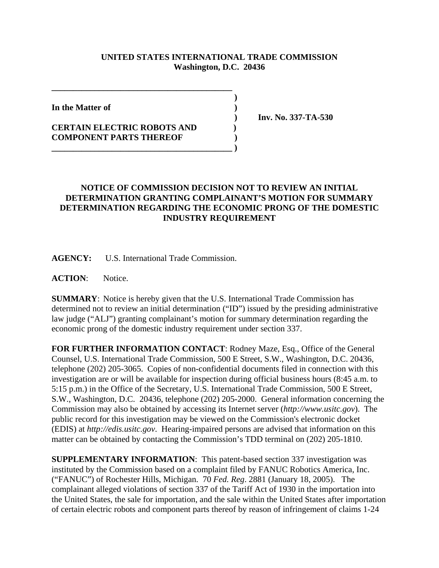## **UNITED STATES INTERNATIONAL TRADE COMMISSION Washington, D.C. 20436**

 **)**

**In the Matter of )**

## **CERTAIN ELECTRIC ROBOTS AND ) COMPONENT PARTS THEREOF ) \_\_\_\_\_\_\_\_\_\_\_\_\_\_\_\_\_\_\_\_\_\_\_\_\_\_\_\_\_\_\_\_\_\_\_\_\_\_\_\_\_\_ )**

**\_\_\_\_\_\_\_\_\_\_\_\_\_\_\_\_\_\_\_\_\_\_\_\_\_\_\_\_\_\_\_\_\_\_\_\_\_\_\_\_\_\_**

 **) Inv. No. 337-TA-530**

## **NOTICE OF COMMISSION DECISION NOT TO REVIEW AN INITIAL DETERMINATION GRANTING COMPLAINANT'S MOTION FOR SUMMARY DETERMINATION REGARDING THE ECONOMIC PRONG OF THE DOMESTIC INDUSTRY REQUIREMENT**

**AGENCY:** U.S. International Trade Commission.

**ACTION**: Notice.

**SUMMARY**: Notice is hereby given that the U.S. International Trade Commission has determined not to review an initial determination ("ID") issued by the presiding administrative law judge ("ALJ") granting complainant's motion for summary determination regarding the economic prong of the domestic industry requirement under section 337.

**FOR FURTHER INFORMATION CONTACT**: Rodney Maze, Esq., Office of the General Counsel, U.S. International Trade Commission, 500 E Street, S.W., Washington, D.C. 20436, telephone (202) 205-3065. Copies of non-confidential documents filed in connection with this investigation are or will be available for inspection during official business hours (8:45 a.m. to 5:15 p.m.) in the Office of the Secretary, U.S. International Trade Commission, 500 E Street, S.W., Washington, D.C. 20436, telephone (202) 205-2000. General information concerning the Commission may also be obtained by accessing its Internet server (*http://www.usitc.gov*). The public record for this investigation may be viewed on the Commission's electronic docket (EDIS) at *http://edis.usitc.gov*. Hearing-impaired persons are advised that information on this matter can be obtained by contacting the Commission's TDD terminal on (202) 205-1810.

**SUPPLEMENTARY INFORMATION**: This patent-based section 337 investigation was instituted by the Commission based on a complaint filed by FANUC Robotics America, Inc. ("FANUC") of Rochester Hills, Michigan. 70 *Fed. Reg*. 2881 (January 18, 2005). The complainant alleged violations of section 337 of the Tariff Act of 1930 in the importation into the United States, the sale for importation, and the sale within the United States after importation of certain electric robots and component parts thereof by reason of infringement of claims 1-24